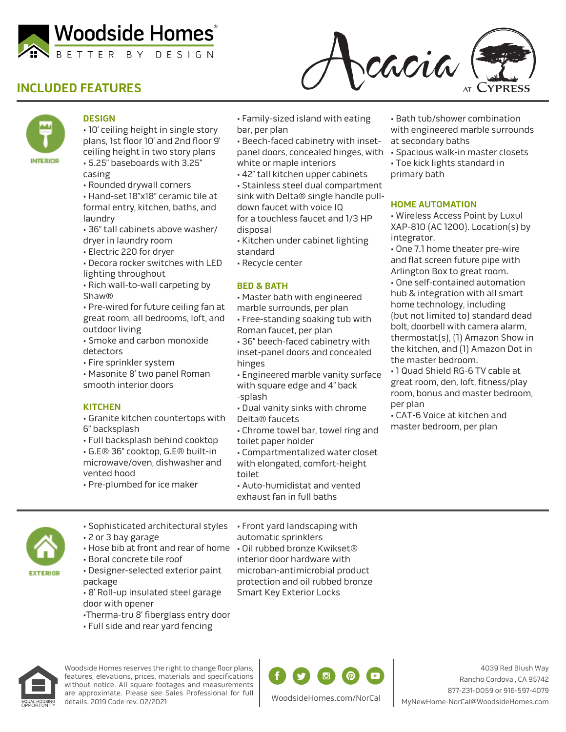

cacia

# **INCLUDED FEATURES**



### **DESIGN**

• 10' ceiling height in single story plans, 1st floor 10' and 2nd floor 9' ceiling height in two story plans • 5.25" baseboards with 3.25"

casing • Rounded drywall corners

• Hand-set 18"x18" ceramic tile at formal entry, kitchen, baths, and laundry

- 36" tall cabinets above washer/ dryer in laundry room
- Electric 220 for dryer
- Decora rocker switches with LED
- lighting throughout
- Rich wall-to-wall carpeting by Shaw®

• Pre-wired for future ceiling fan at great room, all bedrooms, loft, and outdoor living

- Smoke and carbon monoxide detectors
- Fire sprinkler system

• Masonite 8' two panel Roman smooth interior doors

#### **KITCHEN**

• Granite kitchen countertops with 6" backsplash

• Full backsplash behind cooktop

• G.E® 36" cooktop, G.E® built-in microwave/oven, dishwasher and vented hood

• Pre-plumbed for ice maker

• Family-sized island with eating bar, per plan

- Beech-faced cabinetry with insetpanel doors, concealed hinges, with white or maple interiors
- 42" tall kitchen upper cabinets

• Stainless steel dual compartment sink with Delta® single handle pulldown faucet with voice IQ for a touchless faucet and 1/3 HP disposal

- Kitchen under cabinet lighting standard
- Recycle center

#### **BED & BATH**

- Master bath with engineered
- marble surrounds, per plan

• Free-standing soaking tub with Roman faucet, per plan

• 36" beech-faced cabinetry with inset-panel doors and concealed hinges

• Engineered marble vanity surface with square edge and 4" back -splash

• Dual vanity sinks with chrome Delta® faucets

• Chrome towel bar, towel ring and toilet paper holder

• Compartmentalized water closet with elongated, comfort-height toilet

• Auto-humidistat and vented exhaust fan in full baths

• Bath tub/shower combination with engineered marble surrounds at secondary baths

• Spacious walk-in master closets

• Toe kick lights standard in primary bath

#### **HOME AUTOMATION**

• Wireless Access Point by Luxul XAP-810 (AC 1200). Location(s) by integrator.

• One 7.1 home theater pre-wire and flat screen future pipe with Arlington Box to great room.

• One self-contained automation hub & integration with all smart home technology, including (but not limited to) standard dead bolt, doorbell with camera alarm, thermostat(s), (1) Amazon Show in the kitchen, and (1) Amazon Dot in the master bedroom.

• 1 Quad Shield RG-6 TV cable at great room, den, loft, fitness/play room, bonus and master bedroom, per plan

• CAT-6 Voice at kitchen and master bedroom, per plan

**EXTERIOR** 

• Sophisticated architectural styles • 2 or 3 bay garage

- Boral concrete tile roof
- Designer-selected exterior paint
- package
- 8' Roll-up insulated steel garage door with opener
- •Therma-tru 8' fiberglass entry door
- Full side and rear yard fencing

• Hose bib at front and rear of home • Oil rubbed bronze Kwikset® • Front yard landscaping with automatic sprinklers interior door hardware with

microban-antimicrobial product protection and oil rubbed bronze Smart Key Exterior Locks



Woodside Homes reserves the right to change floor plans, features, elevations, prices, materials and specifications without notice. All square footages and measurements are approximate. Please see Sales Professional for full details. 2019 Code rev. 02/2021



4039 Red Blush Way Rancho Cordova , CA 95742 877-231-0059 or 916-597-4079 MyNewHome-NorCal@WoodsideHomes.com